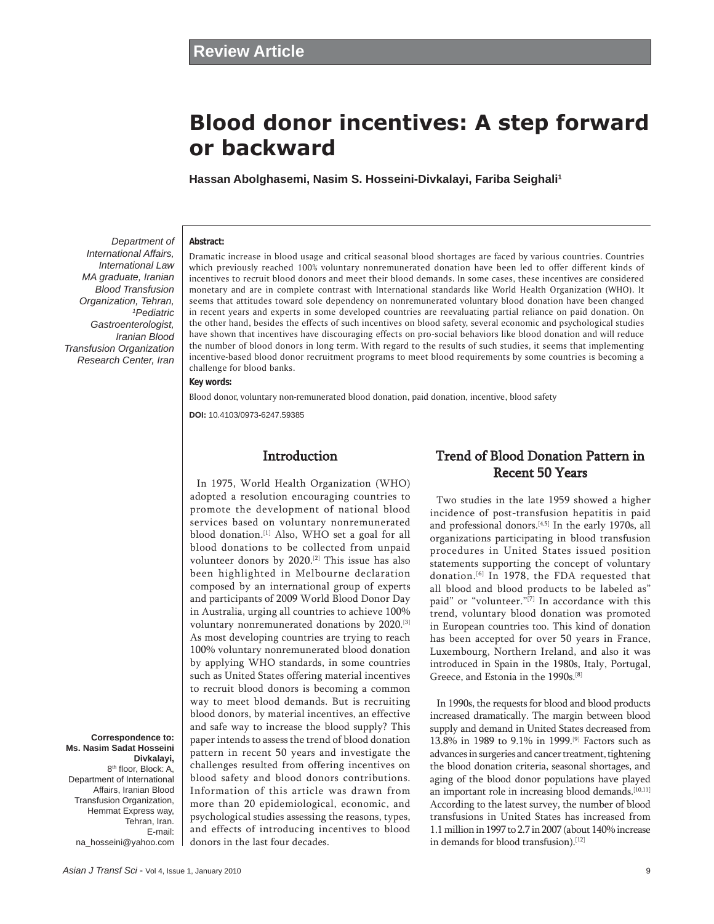# **Blood donor incentives: A step forward or backward**

**Hassan Abolghasemi, Nasim S. Hosseini-Divkalayi, Fariba Seighali1**

**Abstract:**

*International Affairs, International Law MA graduate, Iranian Blood Transfusion Organization, Tehran, 1 Pediatric Gastroenterologist, Iranian Blood Transfusion Organization Research Center, Iran*

*Department of* 

Dramatic increase in blood usage and critical seasonal blood shortages are faced by various countries. Countries which previously reached 100% voluntary nonremunerated donation have been led to offer different kinds of incentives to recruit blood donors and meet their blood demands. In some cases, these incentives are considered monetary and are in complete contrast with International standards like World Health Organization (WHO). It seems that attitudes toward sole dependency on nonremunerated voluntary blood donation have been changed in recent years and experts in some developed countries are reevaluating partial reliance on paid donation. On the other hand, besides the effects of such incentives on blood safety, several economic and psychological studies have shown that incentives have discouraging effects on pro-social behaviors like blood donation and will reduce the number of blood donors in long term. With regard to the results of such studies, it seems that implementing incentive-based blood donor recruitment programs to meet blood requirements by some countries is becoming a challenge for blood banks.

## **Key words:**

Blood donor, voluntary non-remunerated blood donation, paid donation, incentive, blood safety

**DOI:** 10.4103/0973-6247.59385

## Introduction

In 1975, World Health Organization (WHO) adopted a resolution encouraging countries to promote the development of national blood services based on voluntary nonremunerated blood donation.<sup>[1]</sup> Also, WHO set a goal for all blood donations to be collected from unpaid volunteer donors by 2020.[2] This issue has also been highlighted in Melbourne declaration composed by an international group of experts and participants of 2009 World Blood Donor Day in Australia, urging all countries to achieve 100% voluntary nonremunerated donations by 2020.[3] As most developing countries are trying to reach 100% voluntary nonremunerated blood donation by applying WHO standards, in some countries such as United States offering material incentives to recruit blood donors is becoming a common way to meet blood demands. But is recruiting blood donors, by material incentives, an effective and safe way to increase the blood supply? This paper intends to assess the trend of blood donation pattern in recent 50 years and investigate the challenges resulted from offering incentives on blood safety and blood donors contributions. Information of this article was drawn from more than 20 epidemiological, economic, and psychological studies assessing the reasons, types, and effects of introducing incentives to blood donors in the last four decades.

# Trend of Blood Donation Pattern in Recent 50 Years

Two studies in the late 1959 showed a higher incidence of post-transfusion hepatitis in paid and professional donors.<sup>[4,5]</sup> In the early 1970s, all organizations participating in blood transfusion procedures in United States issued position statements supporting the concept of voluntary donation.<sup>[6]</sup> In 1978, the FDA requested that all blood and blood products to be labeled as" paid" or "volunteer."<sup>[7]</sup> In accordance with this trend, voluntary blood donation was promoted in European countries too. This kind of donation has been accepted for over 50 years in France, Luxembourg, Northern Ireland, and also it was introduced in Spain in the 1980s, Italy, Portugal, Greece, and Estonia in the 1990s.[8]

In 1990s, the requests for blood and blood products increased dramatically. The margin between blood supply and demand in United States decreased from 13.8% in 1989 to 9.1% in 1999.[9] Factors such as advances in surgeries and cancer treatment, tightening the blood donation criteria, seasonal shortages, and aging of the blood donor populations have played an important role in increasing blood demands.<sup>[10,11]</sup> According to the latest survey, the number of blood transfusions in United States has increased from 1.1 million in 1997 to 2.7 in 2007 (about 140% increase in demands for blood transfusion).<sup>[12]</sup>

**Correspondence to: Ms. Nasim Sadat Hosseini Divkalayi,** 8<sup>th</sup> floor, Block: A,

Department of International Affairs, Iranian Blood Transfusion Organization, Hemmat Express way, Tehran, Iran. E-mail: na\_hosseini@yahoo.com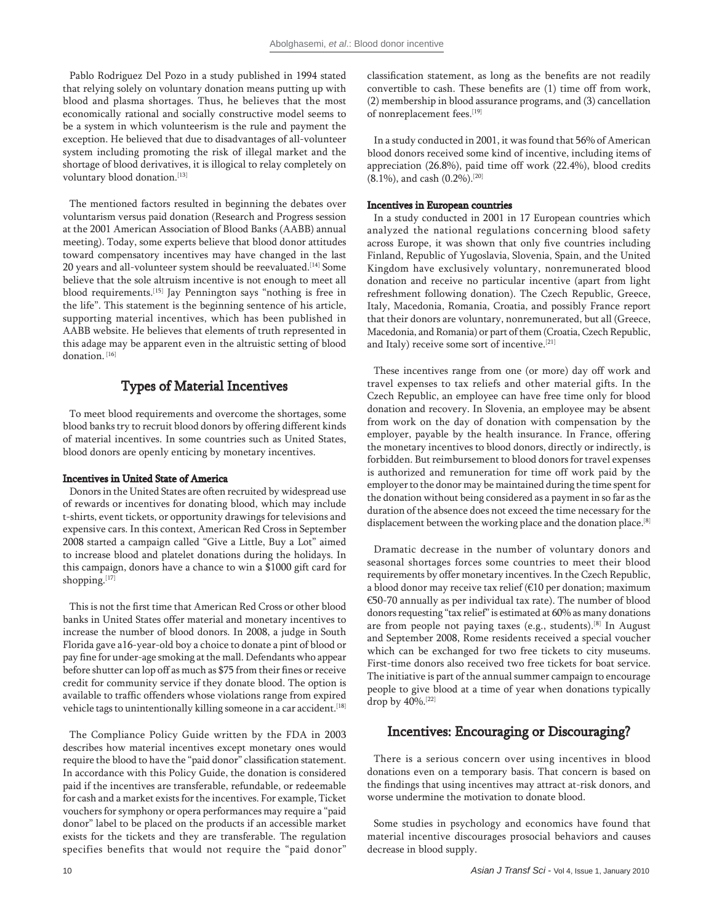Pablo Rodriguez Del Pozo in a study published in 1994 stated that relying solely on voluntary donation means putting up with blood and plasma shortages. Thus, he believes that the most economically rational and socially constructive model seems to be a system in which volunteerism is the rule and payment the exception. He believed that due to disadvantages of all-volunteer system including promoting the risk of illegal market and the shortage of blood derivatives, it is illogical to relay completely on voluntary blood donation.[13]

The mentioned factors resulted in beginning the debates over voluntarism versus paid donation (Research and Progress session at the 2001 American Association of Blood Banks (AABB) annual meeting). Today, some experts believe that blood donor attitudes toward compensatory incentives may have changed in the last 20 years and all-volunteer system should be reevaluated.<sup>[14]</sup> Some believe that the sole altruism incentive is not enough to meet all blood requirements.<sup>[15]</sup> Jay Pennington says "nothing is free in the life". This statement is the beginning sentence of his article, supporting material incentives, which has been published in AABB website. He believes that elements of truth represented in this adage may be apparent even in the altruistic setting of blood donation.<sup>[16]</sup>

## Types of Material Incentives

To meet blood requirements and overcome the shortages, some blood banks try to recruit blood donors by offering different kinds of material incentives. In some countries such as United States, blood donors are openly enticing by monetary incentives.

#### Incentives in United State of America

Donors in the United States are often recruited by widespread use of rewards or incentives for donating blood, which may include t-shirts, event tickets, or opportunity drawings for televisions and expensive cars. In this context, American Red Cross in September 2008 started a campaign called "Give a Little, Buy a Lot" aimed to increase blood and platelet donations during the holidays. In this campaign, donors have a chance to win a \$1000 gift card for shopping.[17]

This is not the first time that American Red Cross or other blood banks in United States offer material and monetary incentives to increase the number of blood donors. In 2008, a judge in South Florida gave a16-year-old boy a choice to donate a pint of blood or pay fine for under-age smoking at the mall. Defendants who appear before shutter can lop off as much as \$75 from their fines or receive credit for community service if they donate blood. The option is available to traffic offenders whose violations range from expired vehicle tags to unintentionally killing someone in a car accident.<sup>[18]</sup>

The Compliance Policy Guide written by the FDA in 2003 describes how material incentives except monetary ones would require the blood to have the "paid donor" classification statement. In accordance with this Policy Guide, the donation is considered paid if the incentives are transferable, refundable, or redeemable for cash and a market exists for the incentives. For example, Ticket vouchers for symphony or opera performances may require a "paid donor" label to be placed on the products if an accessible market exists for the tickets and they are transferable. The regulation specifies benefits that would not require the "paid donor"

classification statement, as long as the benefits are not readily convertible to cash. These benefits are (1) time off from work, (2) membership in blood assurance programs, and (3) cancellation of nonreplacement fees.[19]

In a study conducted in 2001, it was found that 56% of American blood donors received some kind of incentive, including items of appreciation (26.8%), paid time off work (22.4%), blood credits (8.1%), and cash (0.2%).[20]

### Incentives in European countries

In a study conducted in 2001 in 17 European countries which analyzed the national regulations concerning blood safety across Europe, it was shown that only five countries including Finland, Republic of Yugoslavia, Slovenia, Spain, and the United Kingdom have exclusively voluntary, nonremunerated blood donation and receive no particular incentive (apart from light refreshment following donation). The Czech Republic, Greece, Italy, Macedonia, Romania, Croatia, and possibly France report that their donors are voluntary, nonremunerated, but all (Greece, Macedonia, and Romania) or part of them (Croatia, Czech Republic, and Italy) receive some sort of incentive.<sup>[21]</sup>

These incentives range from one (or more) day off work and travel expenses to tax reliefs and other material gifts. In the Czech Republic, an employee can have free time only for blood donation and recovery. In Slovenia, an employee may be absent from work on the day of donation with compensation by the employer, payable by the health insurance. In France, offering the monetary incentives to blood donors, directly or indirectly, is forbidden. But reimbursement to blood donors for travel expenses is authorized and remuneration for time off work paid by the employer to the donor may be maintained during the time spent for the donation without being considered as a payment in so far as the duration of the absence does not exceed the time necessary for the displacement between the working place and the donation place.[8]

Dramatic decrease in the number of voluntary donors and seasonal shortages forces some countries to meet their blood requirements by offer monetary incentives. In the Czech Republic, a blood donor may receive tax relief ( $E10$  per donation; maximum  $€50-70$  annually as per individual tax rate). The number of blood donors requesting "tax relief" is estimated at 60% as many donations are from people not paying taxes (e.g., students).<sup>[8]</sup> In August and September 2008, Rome residents received a special voucher which can be exchanged for two free tickets to city museums. First-time donors also received two free tickets for boat service. The initiative is part of the annual summer campaign to encourage people to give blood at a time of year when donations typically drop by 40%.[22]

## Incentives: Encouraging or Discouraging?

There is a serious concern over using incentives in blood donations even on a temporary basis. That concern is based on the findings that using incentives may attract at-risk donors, and worse undermine the motivation to donate blood.

Some studies in psychology and economics have found that material incentive discourages prosocial behaviors and causes decrease in blood supply.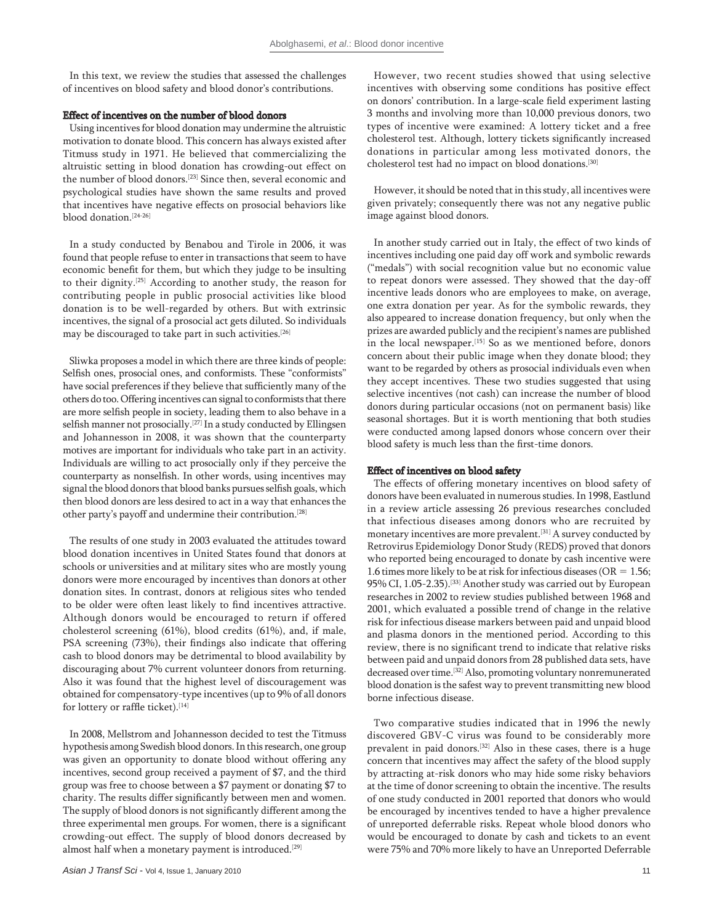In this text, we review the studies that assessed the challenges of incentives on blood safety and blood donor's contributions.

#### Effect of incentives on the number of blood donors

Using incentives for blood donation may undermine the altruistic motivation to donate blood. This concern has always existed after Titmuss study in 1971. He believed that commercializing the altruistic setting in blood donation has crowding-out effect on the number of blood donors.[23] Since then, several economic and psychological studies have shown the same results and proved that incentives have negative effects on prosocial behaviors like blood donation.[24-26]

In a study conducted by Benabou and Tirole in 2006, it was found that people refuse to enter in transactions that seem to have economic benefit for them, but which they judge to be insulting to their dignity.[25] According to another study, the reason for contributing people in public prosocial activities like blood donation is to be well-regarded by others. But with extrinsic incentives, the signal of a prosocial act gets diluted. So individuals may be discouraged to take part in such activities.[26]

Sliwka proposes a model in which there are three kinds of people: Selfish ones, prosocial ones, and conformists. These "conformists" have social preferences if they believe that sufficiently many of the others do too. Offering incentives can signal to conformists that there are more selfish people in society, leading them to also behave in a selfish manner not prosocially.<sup>[27]</sup> In a study conducted by Ellingsen and Johannesson in 2008, it was shown that the counterparty motives are important for individuals who take part in an activity. Individuals are willing to act prosocially only if they perceive the counterparty as nonselfish. In other words, using incentives may signal the blood donors that blood banks pursues selfish goals, which then blood donors are less desired to act in a way that enhances the other party's payoff and undermine their contribution.<sup>[28]</sup>

The results of one study in 2003 evaluated the attitudes toward blood donation incentives in United States found that donors at schools or universities and at military sites who are mostly young donors were more encouraged by incentives than donors at other donation sites. In contrast, donors at religious sites who tended to be older were often least likely to find incentives attractive. Although donors would be encouraged to return if offered cholesterol screening (61%), blood credits (61%), and, if male, PSA screening (73%), their findings also indicate that offering cash to blood donors may be detrimental to blood availability by discouraging about 7% current volunteer donors from returning. Also it was found that the highest level of discouragement was obtained for compensatory-type incentives (up to 9% of all donors for lottery or raffle ticket).  $^{\left[14\right]}$ 

In 2008, Mellstrom and Johannesson decided to test the Titmuss hypothesis among Swedish blood donors. In this research, one group was given an opportunity to donate blood without offering any incentives, second group received a payment of \$7, and the third group was free to choose between a \$7 payment or donating \$7 to charity. The results differ significantly between men and women. The supply of blood donors is not significantly different among the three experimental men groups. For women, there is a significant crowding-out effect. The supply of blood donors decreased by almost half when a monetary payment is introduced.<sup>[29]</sup>

However, two recent studies showed that using selective incentives with observing some conditions has positive effect on donors' contribution. In a large-scale field experiment lasting 3 months and involving more than 10,000 previous donors, two types of incentive were examined: A lottery ticket and a free cholesterol test. Although, lottery tickets significantly increased donations in particular among less motivated donors, the cholesterol test had no impact on blood donations.[30]

However, it should be noted that in this study, all incentives were given privately; consequently there was not any negative public image against blood donors.

In another study carried out in Italy, the effect of two kinds of incentives including one paid day off work and symbolic rewards ("medals") with social recognition value but no economic value to repeat donors were assessed. They showed that the day-off incentive leads donors who are employees to make, on average, one extra donation per year. As for the symbolic rewards, they also appeared to increase donation frequency, but only when the prizes are awarded publicly and the recipient's names are published in the local newspaper.<sup>[15]</sup> So as we mentioned before, donors concern about their public image when they donate blood; they want to be regarded by others as prosocial individuals even when they accept incentives. These two studies suggested that using selective incentives (not cash) can increase the number of blood donors during particular occasions (not on permanent basis) like seasonal shortages. But it is worth mentioning that both studies were conducted among lapsed donors whose concern over their blood safety is much less than the first-time donors.

#### Effect of incentives on blood safety

The effects of offering monetary incentives on blood safety of donors have been evaluated in numerous studies. In 1998, Eastlund in a review article assessing 26 previous researches concluded that infectious diseases among donors who are recruited by monetary incentives are more prevalent.[31] A survey conducted by Retrovirus Epidemiology Donor Study (REDS) proved that donors who reported being encouraged to donate by cash incentive were 1.6 times more likely to be at risk for infectious diseases (OR  $= 1.56$ ; 95% CI, 1.05-2.35).[33] Another study was carried out by European researches in 2002 to review studies published between 1968 and 2001, which evaluated a possible trend of change in the relative risk for infectious disease markers between paid and unpaid blood and plasma donors in the mentioned period. According to this review, there is no significant trend to indicate that relative risks between paid and unpaid donors from 28 published data sets, have decreased over time.[32] Also, promoting voluntary nonremunerated blood donation is the safest way to prevent transmitting new blood borne infectious disease.

Two comparative studies indicated that in 1996 the newly discovered GBV-C virus was found to be considerably more prevalent in paid donors.[32] Also in these cases, there is a huge concern that incentives may affect the safety of the blood supply by attracting at-risk donors who may hide some risky behaviors at the time of donor screening to obtain the incentive. The results of one study conducted in 2001 reported that donors who would be encouraged by incentives tended to have a higher prevalence of unreported deferrable risks. Repeat whole blood donors who would be encouraged to donate by cash and tickets to an event were 75% and 70% more likely to have an Unreported Deferrable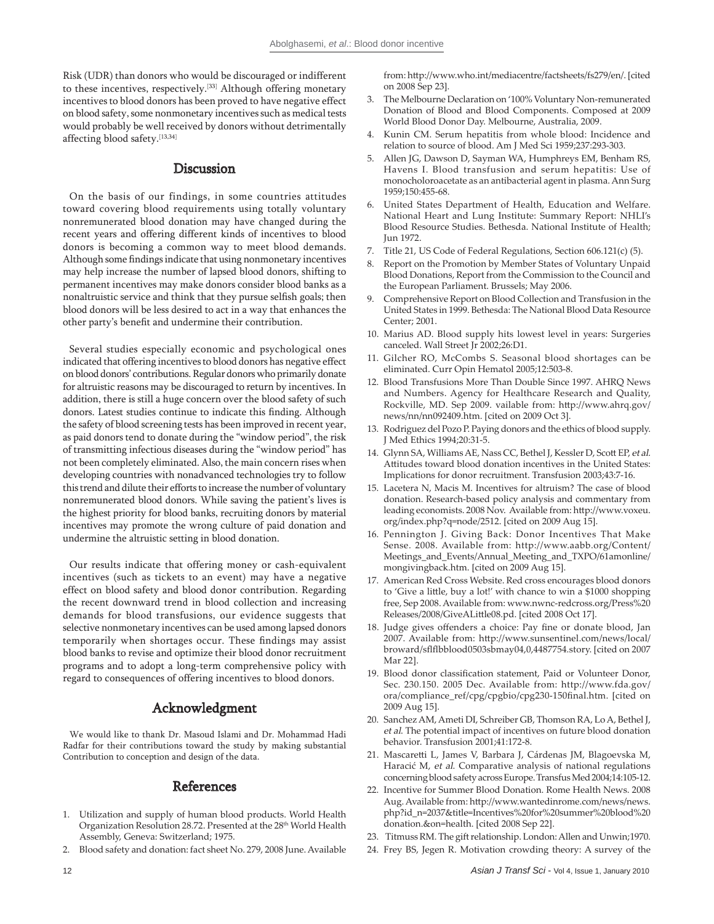Risk (UDR) than donors who would be discouraged or indifferent to these incentives, respectively.<sup>[33]</sup> Although offering monetary incentives to blood donors has been proved to have negative effect on blood safety, some nonmonetary incentives such as medical tests would probably be well received by donors without detrimentally affecting blood safety.[13,34]

## Discussion

On the basis of our findings, in some countries attitudes toward covering blood requirements using totally voluntary nonremunerated blood donation may have changed during the recent years and offering different kinds of incentives to blood donors is becoming a common way to meet blood demands. Although some findings indicate that using nonmonetary incentives may help increase the number of lapsed blood donors, shifting to permanent incentives may make donors consider blood banks as a nonaltruistic service and think that they pursue selfish goals; then blood donors will be less desired to act in a way that enhances the other party's benefit and undermine their contribution.

Several studies especially economic and psychological ones indicated that offering incentives to blood donors has negative effect on blood donors' contributions. Regular donors who primarily donate for altruistic reasons may be discouraged to return by incentives. In addition, there is still a huge concern over the blood safety of such donors. Latest studies continue to indicate this finding. Although the safety of blood screening tests has been improved in recent year, as paid donors tend to donate during the "window period", the risk of transmitting infectious diseases during the "window period" has not been completely eliminated. Also, the main concern rises when developing countries with nonadvanced technologies try to follow this trend and dilute their efforts to increase the number of voluntary nonremunerated blood donors. While saving the patient's lives is the highest priority for blood banks, recruiting donors by material incentives may promote the wrong culture of paid donation and undermine the altruistic setting in blood donation.

Our results indicate that offering money or cash-equivalent incentives (such as tickets to an event) may have a negative effect on blood safety and blood donor contribution. Regarding the recent downward trend in blood collection and increasing demands for blood transfusions, our evidence suggests that selective nonmonetary incentives can be used among lapsed donors temporarily when shortages occur. These findings may assist blood banks to revise and optimize their blood donor recruitment programs and to adopt a long-term comprehensive policy with regard to consequences of offering incentives to blood donors.

# Acknowledgment

We would like to thank Dr. Masoud Islami and Dr. Mohammad Hadi Radfar for their contributions toward the study by making substantial Contribution to conception and design of the data.

## References

- 1. Utilization and supply of human blood products. World Health Organization Resolution 28.72. Presented at the 28<sup>th</sup> World Health Assembly, Geneva: Switzerland; 1975.
- 2. Blood safety and donation: fact sheet No. 279, 2008 June. Available

from: http://www.who.int/mediacentre/factsheets/fs279/en/. [cited on 2008 Sep 23].

- 3. The Melbourne Declaration on '100% Voluntary Non-remunerated Donation of Blood and Blood Components. Composed at 2009 World Blood Donor Day. Melbourne, Australia, 2009.
- Kunin CM. Serum hepatitis from whole blood: Incidence and relation to source of blood. Am J Med Sci 1959;237:293-303.
- 5. Allen JG, Dawson D, Sayman WA, Humphreys EM, Benham RS, Havens I. Blood transfusion and serum hepatitis: Use of monocholoroacetate as an antibacterial agent in plasma. Ann Surg 1959;150:455-68.
- 6. United States Department of Health, Education and Welfare. National Heart and Lung Institute: Summary Report: NHLIís Blood Resource Studies. Bethesda. National Institute of Health; Jun 1972.
- 7. Title 21, US Code of Federal Regulations, Section 606.121(c) (5).
- 8. Report on the Promotion by Member States of Voluntary Unpaid Blood Donations, Report from the Commission to the Council and the European Parliament. Brussels; May 2006.
- 9. Comprehensive Report on Blood Collection and Transfusion in the United States in 1999. Bethesda: The National Blood Data Resource Center; 2001.
- 10. Marius AD. Blood supply hits lowest level in years: Surgeries canceled. Wall Street Jr 2002;26:D1.
- 11. Gilcher RO, McCombs S. Seasonal blood shortages can be eliminated. Curr Opin Hematol 2005;12:503-8.
- 12. Blood Transfusions More Than Double Since 1997. AHRQ News and Numbers. Agency for Healthcare Research and Quality, Rockville, MD. Sep 2009. vailable from: http://www.ahrq.gov/ news/nn/nn092409.htm. [cited on 2009 Oct 3].
- 13. Rodriguez del Pozo P. Paying donors and the ethics of blood supply. J Med Ethics 1994;20:31-5.
- 14. Glynn SA, Williams AE, Nass CC, Bethel J, Kessler D, Scott EP, et al. Attitudes toward blood donation incentives in the United States: Implications for donor recruitment. Transfusion 2003;43:7-16.
- 15. Lacetera N, Macis M. Incentives for altruism? The case of blood donation. Research-based policy analysis and commentary from leading economists. 2008 Nov. Available from: http://www.voxeu. org/index.php?q=node/2512. [cited on 2009 Aug 15].
- 16. Pennington J. Giving Back: Donor Incentives That Make Sense. 2008. Available from: http://www.aabb.org/Content/ Meetings\_and\_Events/Annual\_Meeting\_and\_TXPO/61amonline/ mongivingback.htm. [cited on 2009 Aug 15].
- 17. American Red Cross Website. Red cross encourages blood donors to 'Give a little, buy a lot!' with chance to win a \$1000 shopping free, Sep 2008. Available from: www.nwnc-redcross.org/Press%20 Releases/2008/GiveALittle08.pd. [cited 2008 Oct 17].
- 18. Judge gives offenders a choice: Pay fine or donate blood, Jan 2007. Available from: http://www.sunsentinel.com/news/local/ broward/sflflbblood0503sbmay04,0,4487754.story. [cited on 2007 Mar 22].
- 19. Blood donor classification statement, Paid or Volunteer Donor, Sec. 230.150. 2005 Dec. Available from: http://www.fda.gov/ ora/compliance\_ref/cpg/cpgbio/cpg230-150final.htm. [cited on 2009 Aug 15].
- 20. Sanchez AM, Ameti DI, Schreiber GB, Thomson RA, Lo A, Bethel J, et al. The potential impact of incentives on future blood donation behavior. Transfusion 2001;41:172-8.
- 21. Mascaretti L, James V, Barbara J, Cárdenas JM, Blagoevska M, Haracić M, et al. Comparative analysis of national regulations concerning blood safety across Europe. Transfus Med 2004;14:105-12.
- 22. Incentive for Summer Blood Donation. Rome Health News. 2008 Aug. Available from: http://www.wantedinrome.com/news/news. php?id\_n=2037&title=Incentives%20for%20summer%20blood%20 donation.&on=health. [cited 2008 Sep 22].
- 23. Titmuss RM. The gift relationship. London: Allen and Unwin;1970.
- 24. Frey BS, Jegen R. Motivation crowding theory: A survey of the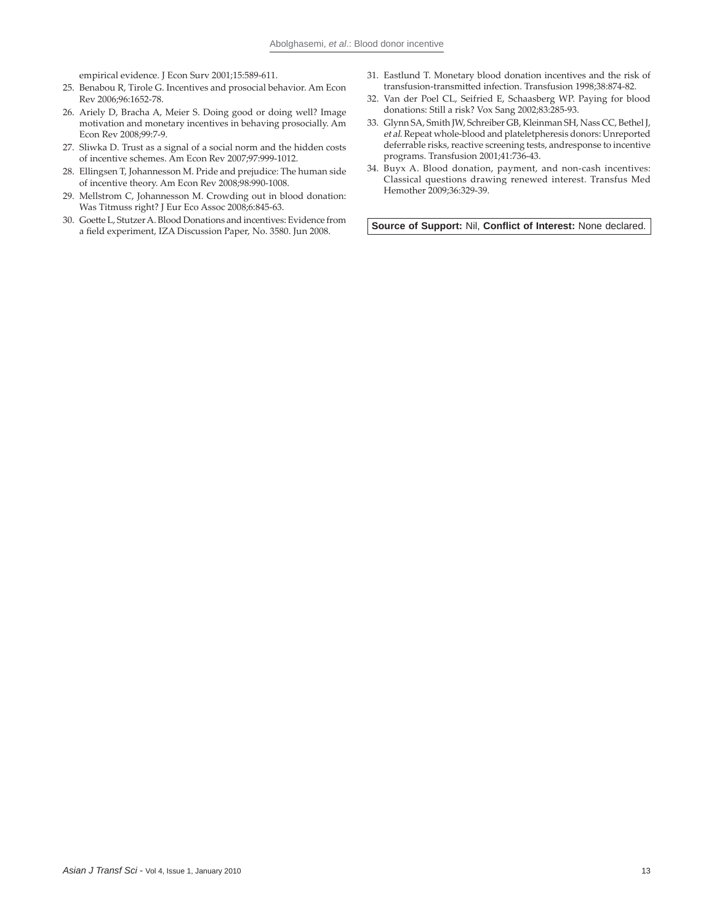empirical evidence. J Econ Surv 2001;15:589-611.

- 25. Benabou R, Tirole G. Incentives and prosocial behavior. Am Econ Rev 2006;96:1652-78.
- 26. Ariely D, Bracha A, Meier S. Doing good or doing well? Image motivation and monetary incentives in behaving prosocially. Am Econ Rev 2008;99:7-9.
- 27. Sliwka D. Trust as a signal of a social norm and the hidden costs of incentive schemes. Am Econ Rev 2007;97:999-1012.
- 28. Ellingsen T, Johannesson M. Pride and prejudice: The human side of incentive theory. Am Econ Rev 2008;98:990-1008.
- 29. Mellstrom C, Johannesson M. Crowding out in blood donation: Was Titmuss right? J Eur Eco Assoc 2008;6:845-63.
- 30. Goette L, Stutzer A. Blood Donations and incentives: Evidence from a field experiment, IZA Discussion Paper, No. 3580. Jun 2008.
- 31. Eastlund T. Monetary blood donation incentives and the risk of transfusion-transmitted infection. Transfusion 1998;38:874-82.
- 32. Van der Poel CL, Seifried E, Schaasberg WP. Paying for blood donations: Still a risk? Vox Sang 2002;83:285-93.
- 33. Glynn SA, Smith JW, Schreiber GB, Kleinman SH, Nass CC, Bethel J, et al. Repeat whole-blood and plateletpheresis donors: Unreported deferrable risks, reactive screening tests, andresponse to incentive programs. Transfusion 2001;41:736-43.
- 34. Buyx A. Blood donation, payment, and non-cash incentives: Classical questions drawing renewed interest. Transfus Med Hemother 2009;36:329-39.

Source of Support: Nil, Conflict of Interest: None declared.